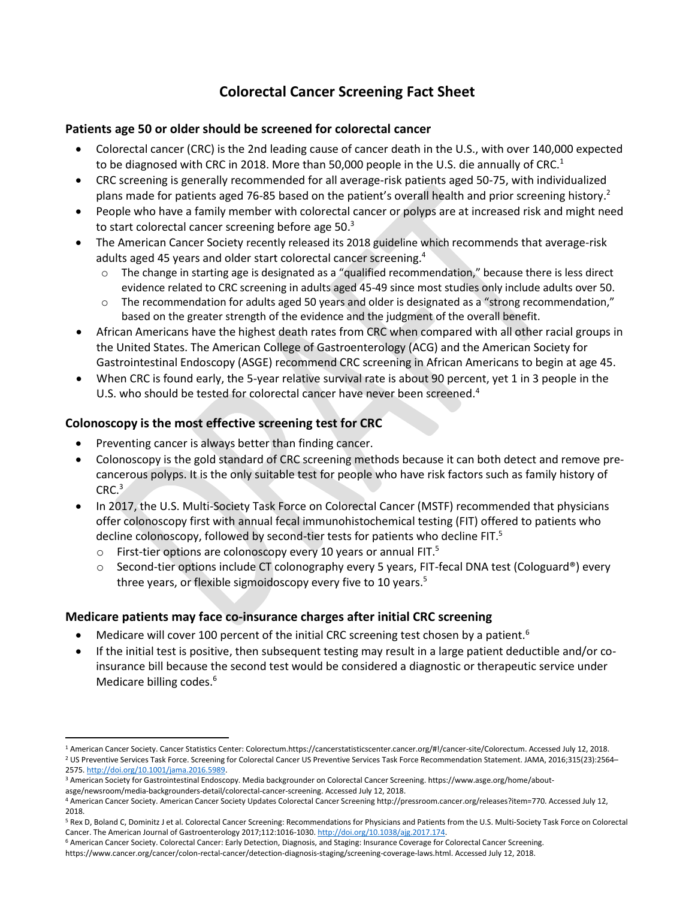# <span id="page-0-1"></span><span id="page-0-0"></span>**Colorectal Cancer Screening Fact Sheet**

### **Patients age 50 or older should be screened for colorectal cancer**

- Colorectal cancer (CRC) is the 2nd leading cause of cancer death in the U.S., with over 140,000 expected to be diagnosed with CRC in 2018. More than 50,000 people in the U.S. die annually of CRC.<sup>1</sup>
- CRC screening is generally recommended for all average-risk patients aged 50-75, with individualized plans made for patients aged 76-85 based on the patient's overall health and prior screening history.<sup>2</sup>
- People who have a family member with colorectal cancer or polyps are at increased risk and might need to start colorectal cancer screening before age 50.<sup>3</sup>
- The American Cancer Society recently released its 2018 guideline which recommends that average-risk adults aged 45 years and older start colorectal cancer screening.<sup>4</sup>
	- The change in starting age is designated as a "qualified recommendation," because there is less direct evidence related to CRC screening in adults aged 45-49 since most studies only include adults over 50.
	- $\circ$  The recommendation for adults aged 50 years and older is designated as a "strong recommendation," based on the greater strength of the evidence and the judgment of the overall benefit.
- African Americans have the highest death rates from CRC when compared with all other racial groups in the United States. The American College of Gastroenterology (ACG) and the American Society for Gastrointestinal Endoscopy (ASGE) recommend CRC screening in African Americans to begin at age 45.
- When CRC is found early, the 5-year relative survival rate is about 90 percent, yet 1 in 3 people in the U.S. who should be tested for colorectal cancer have never been screened.<sup>[4](#page-0-0)</sup>

## **Colonoscopy is the most effective screening test for CRC**

- Preventing cancer is always better than finding cancer.
- Colonoscopy is the gold standard of CRC screening methods because it can both detect and remove precancerous polyps. It is the only suitable test for people who have risk factors such as family history of CRC<sup>[3](#page-0-1)</sup>
- <span id="page-0-2"></span>• In 2017, the U.S. Multi-Society Task Force on Colorectal Cancer (MSTF) recommended that physicians offer colonoscopy first with annual fecal immunohistochemical testing (FIT) offered to patients who decline colonoscopy, followed by second-tier tests for patients who decline FIT.<sup>5</sup>
	- $\circ$  First-tier options are colonoscopy every 10 years or annual FIT[.](#page-0-2)<sup>5</sup>
	- o Second-tier options include CT colonography every 5 years, FIT-fecal DNA test (Cologuard®) every three years, or flexible sigmoidoscopy every five to 10 years.<sup>[5](#page-0-2)</sup>

## **Medicare patients may face co-insurance charges after initial CRC screening**

- <span id="page-0-3"></span>Medicare will cover 100 percent of the initial CRC screening test chosen by a patient.<sup>6</sup>
- If the initial test is positive, then subsequent testing may result in a large patient deductible and/or coinsurance bill because the second test would be considered a diagnostic or therapeutic service under Medicare billing codes[.](#page-0-3)<sup>6</sup>

<sup>1</sup> American Cancer Society. Cancer Statistics Center: Colorectum.https://cancerstatisticscenter.cancer.org/#!/cancer-site/Colorectum. Accessed July 12, 2018. <sup>2</sup> US Preventive Services Task Force. Screening for Colorectal Cancer US Preventive Services Task Force Recommendation Statement. JAMA, 2016;315(23):2564– 2575[. http://doi.org/10.1001/jama.2016.5989.](http://doi.org/10.1001/jama.2016.5989)

<sup>3</sup> American Society for Gastrointestinal Endoscopy. Media backgrounder on Colorectal Cancer Screening. https://www.asge.org/home/about-

asge/newsroom/media-backgrounders-detail/colorectal-cancer-screening. Accessed July 12, 2018.

<sup>4</sup> American Cancer Society. American Cancer Society Updates Colorectal Cancer Screening http://pressroom.cancer.org/releases?item=770. Accessed July 12, 2018.

<sup>&</sup>lt;sup>5</sup> Rex D, Boland C, Dominitz J et al. Colorectal Cancer Screening: Recommendations for Physicians and Patients from the U.S. Multi-Society Task Force on Colorectal Cancer. The American Journal of Gastroenterology 2017;112:1016-1030[. http://doi.org/10.1038/ajg.2017.174.](http://doi.org/10.1038/ajg.2017.174)

<sup>6</sup> American Cancer Society. Colorectal Cancer: Early Detection, Diagnosis, and Staging: Insurance Coverage for Colorectal Cancer Screening. https://www.cancer.org/cancer/colon-rectal-cancer/detection-diagnosis-staging/screening-coverage-laws.html. Accessed July 12, 2018.